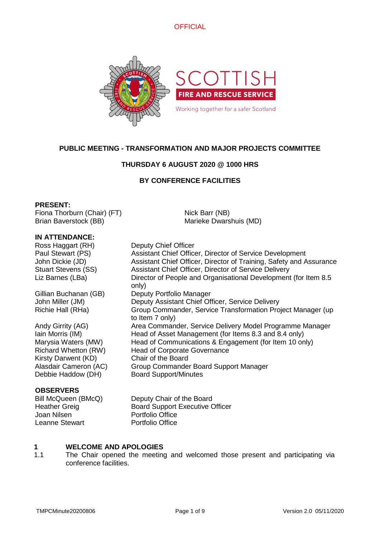

# **PUBLIC MEETING - TRANSFORMATION AND MAJOR PROJECTS COMMITTEE**

# **THURSDAY 6 AUGUST 2020 @ 1000 HRS**

# **BY CONFERENCE FACILITIES**

Nick Barr (NB)

Marieke Dwarshuis (MD)

### **PRESENT:**

Fiona Thorburn (Chair) (FT) Brian Baverstock (BB)

### **IN ATTENDANCE:**

Ross Haggart (RH) Deputy Chief Officer

Kirsty Darwent (KD) Chair of the Board Debbie Haddow (DH) Board Support/Minutes

### **OBSERVERS**

Joan Nilsen Portfolio Office Leanne Stewart Portfolio Office

Paul Stewart (PS) Assistant Chief Officer, Director of Service Development John Dickie (JD) Assistant Chief Officer, Director of Training, Safety and Assurance Stuart Stevens (SS) Assistant Chief Officer, Director of Service Delivery Liz Barnes (LBa) Director of People and Organisational Development (for Item 8.5 only) Gillian Buchanan (GB) Deputy Portfolio Manager John Miller (JM) Deputy Assistant Chief Officer, Service Delivery Richie Hall (RHa) Group Commander, Service Transformation Project Manager (up to Item 7 only) Andy Girrity (AG) **Area Commander, Service Delivery Model Programme Manager** Iain Morris (IM) Head of Asset Management (for Items 8.3 and 8.4 only) Marysia Waters (MW) Head of Communications & Engagement (for Item 10 only) Richard Whetton (RW) Head of Corporate Governance Alasdair Cameron (AC) Group Commander Board Support Manager

Bill McQueen (BMcQ) Deputy Chair of the Board Heather Greig Board Support Executive Officer

#### **1 WELCOME AND APOLOGIES**

1.1 The Chair opened the meeting and welcomed those present and participating via conference facilities.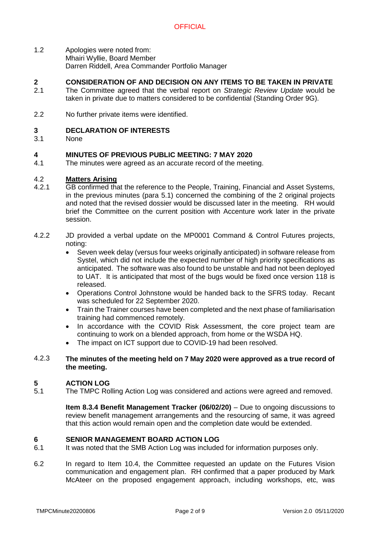1.2 Apologies were noted from: Mhairi Wyllie, Board Member Darren Riddell, Area Commander Portfolio Manager

#### **2 CONSIDERATION OF AND DECISION ON ANY ITEMS TO BE TAKEN IN PRIVATE**

- 2.1 The Committee agreed that the verbal report on *Strategic Review Update* would be taken in private due to matters considered to be confidential (Standing Order 9G).
- 2.2 No further private items were identified.

#### **3 DECLARATION OF INTERESTS**

3.1 None

#### **4 MINUTES OF PREVIOUS PUBLIC MEETING: 7 MAY 2020**

4.1 The minutes were agreed as an accurate record of the meeting.

#### 4.2 **Matters Arising**

- 4.2.1 GB confirmed that the reference to the People, Training, Financial and Asset Systems, in the previous minutes (para 5.1) concerned the combining of the 2 original projects and noted that the revised dossier would be discussed later in the meeting. RH would brief the Committee on the current position with Accenture work later in the private session.
- 4.2.2 JD provided a verbal update on the MP0001 Command & Control Futures projects, noting:
	- Seven week delay (versus four weeks originally anticipated) in software release from Systel, which did not include the expected number of high priority specifications as anticipated. The software was also found to be unstable and had not been deployed to UAT. It is anticipated that most of the bugs would be fixed once version 118 is released.
	- Operations Control Johnstone would be handed back to the SFRS today. Recant was scheduled for 22 September 2020.
	- Train the Trainer courses have been completed and the next phase of familiarisation training had commenced remotely.
	- In accordance with the COVID Risk Assessment, the core project team are continuing to work on a blended approach, from home or the WSDA HQ.
	- The impact on ICT support due to COVID-19 had been resolved.

### 4.2.3 **The minutes of the meeting held on 7 May 2020 were approved as a true record of the meeting.**

#### **5 ACTION LOG**

5.1 The TMPC Rolling Action Log was considered and actions were agreed and removed.

> **Item 8.3.4 Benefit Management Tracker (06/02/20)** – Due to ongoing discussions to review benefit management arrangements and the resourcing of same, it was agreed that this action would remain open and the completion date would be extended.

### **6 SENIOR MANAGEMENT BOARD ACTION LOG**

- 6.1 It was noted that the SMB Action Log was included for information purposes only.
- 6.2 In regard to Item 10.4, the Committee requested an update on the Futures Vision communication and engagement plan. RH confirmed that a paper produced by Mark McAteer on the proposed engagement approach, including workshops, etc, was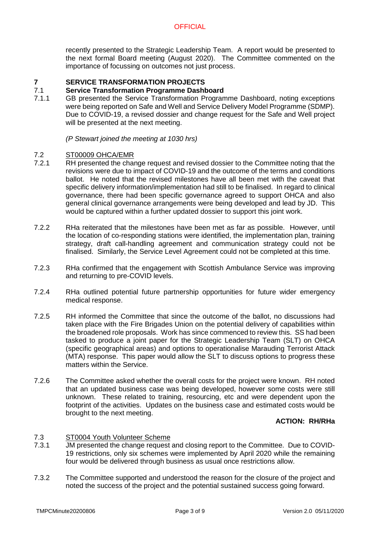recently presented to the Strategic Leadership Team. A report would be presented to the next formal Board meeting (August 2020). The Committee commented on the importance of focussing on outcomes not just process.

#### **7 SERVICE TRANSFORMATION PROJECTS**

#### 7.1 **Service Transformation Programme Dashboard**

7.1.1 GB presented the Service Transformation Programme Dashboard, noting exceptions were being reported on Safe and Well and Service Delivery Model Programme (SDMP). Due to COVID-19, a revised dossier and change request for the Safe and Well project will be presented at the next meeting.

*(P Stewart joined the meeting at 1030 hrs)*

#### 7.2 ST00009 OHCA/EMR

- 7.2.1 RH presented the change request and revised dossier to the Committee noting that the revisions were due to impact of COVID-19 and the outcome of the terms and conditions ballot. He noted that the revised milestones have all been met with the caveat that specific delivery information/implementation had still to be finalised. In regard to clinical governance, there had been specific governance agreed to support OHCA and also general clinical governance arrangements were being developed and lead by JD. This would be captured within a further updated dossier to support this joint work.
- 7.2.2 RHa reiterated that the milestones have been met as far as possible. However, until the location of co-responding stations were identified, the implementation plan, training strategy, draft call-handling agreement and communication strategy could not be finalised. Similarly, the Service Level Agreement could not be completed at this time.
- 7.2.3 RHa confirmed that the engagement with Scottish Ambulance Service was improving and returning to pre-COVID levels.
- 7.2.4 RHa outlined potential future partnership opportunities for future wider emergency medical response.
- 7.2.5 RH informed the Committee that since the outcome of the ballot, no discussions had taken place with the Fire Brigades Union on the potential delivery of capabilities within the broadened role proposals. Work has since commenced to review this. SS had been tasked to produce a joint paper for the Strategic Leadership Team (SLT) on OHCA (specific geographical areas) and options to operationalise Marauding Terrorist Attack (MTA) response. This paper would allow the SLT to discuss options to progress these matters within the Service.
- 7.2.6 The Committee asked whether the overall costs for the project were known. RH noted that an updated business case was being developed, however some costs were still unknown. These related to training, resourcing, etc and were dependent upon the footprint of the activities. Updates on the business case and estimated costs would be brought to the next meeting.

### **ACTION: RH/RHa**

#### 7.3 ST0004 Youth Volunteer Scheme

- 7.3.1 JM presented the change request and closing report to the Committee. Due to COVID-19 restrictions, only six schemes were implemented by April 2020 while the remaining four would be delivered through business as usual once restrictions allow.
- 7.3.2 The Committee supported and understood the reason for the closure of the project and noted the success of the project and the potential sustained success going forward.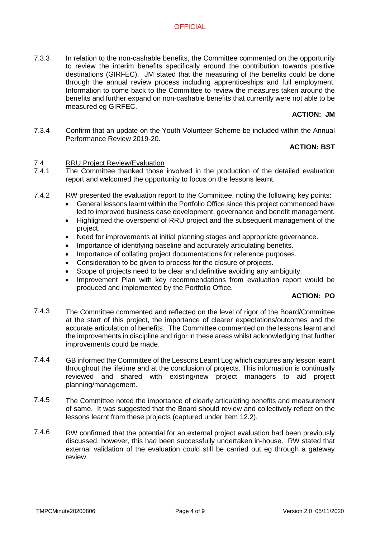7.3.3 In relation to the non-cashable benefits, the Committee commented on the opportunity to review the interim benefits specifically around the contribution towards positive destinations (GIRFEC). JM stated that the measuring of the benefits could be done through the annual review process including apprenticeships and full employment. Information to come back to the Committee to review the measures taken around the benefits and further expand on non-cashable benefits that currently were not able to be measured eg GIRFEC.

# **ACTION: JM**

7.3.4 Confirm that an update on the Youth Volunteer Scheme be included within the Annual Performance Review 2019-20.

# **ACTION: BST**

#### 7.4 RRU Project Review/Evaluation

- 7.4.1 The Committee thanked those involved in the production of the detailed evaluation report and welcomed the opportunity to focus on the lessons learnt.
- 7.4.2 RW presented the evaluation report to the Committee, noting the following key points:
	- General lessons learnt within the Portfolio Office since this project commenced have led to improved business case development, governance and benefit management.
	- Highlighted the overspend of RRU project and the subsequent management of the project.
	- Need for improvements at initial planning stages and appropriate governance.
	- Importance of identifying baseline and accurately articulating benefits.
	- Importance of collating project documentations for reference purposes.
	- Consideration to be given to process for the closure of projects.
	- Scope of projects need to be clear and definitive avoiding any ambiguity.
	- Improvement Plan with key recommendations from evaluation report would be produced and implemented by the Portfolio Office.

### **ACTION: PO**

- 7.4.3 The Committee commented and reflected on the level of rigor of the Board/Committee at the start of this project, the importance of clearer expectations/outcomes and the accurate articulation of benefits. The Committee commented on the lessons learnt and the improvements in discipline and rigor in these areas whilst acknowledging that further improvements could be made.
- 7.4.4 GB informed the Committee of the Lessons Learnt Log which captures any lesson learnt throughout the lifetime and at the conclusion of projects. This information is continually reviewed and shared with existing/new project managers to aid project planning/management.
- 7.4.5 The Committee noted the importance of clearly articulating benefits and measurement of same. It was suggested that the Board should review and collectively reflect on the lessons learnt from these projects (captured under Item 12.2).
- 7.4.6 RW confirmed that the potential for an external project evaluation had been previously discussed, however, this had been successfully undertaken in-house. RW stated that external validation of the evaluation could still be carried out eg through a gateway review.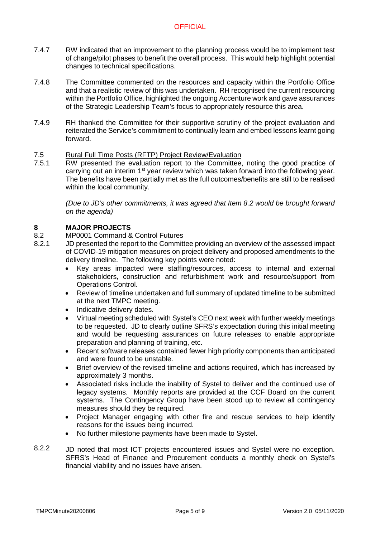- 7.4.7 RW indicated that an improvement to the planning process would be to implement test of change/pilot phases to benefit the overall process. This would help highlight potential changes to technical specifications.
- 7.4.8 The Committee commented on the resources and capacity within the Portfolio Office and that a realistic review of this was undertaken. RH recognised the current resourcing within the Portfolio Office, highlighted the ongoing Accenture work and gave assurances of the Strategic Leadership Team's focus to appropriately resource this area.
- 7.4.9 RH thanked the Committee for their supportive scrutiny of the project evaluation and reiterated the Service's commitment to continually learn and embed lessons learnt going forward.

#### 7.5 Rural Full Time Posts (RFTP) Project Review/Evaluation

7.5.1 RW presented the evaluation report to the Committee, noting the good practice of carrying out an interim 1<sup>st</sup> year review which was taken forward into the following year. The benefits have been partially met as the full outcomes/benefits are still to be realised within the local community.

> *(Due to JD's other commitments, it was agreed that Item 8.2 would be brought forward on the agenda)*

#### **8 MAJOR PROJECTS**

- 8.2 MP0001 Command & Control Futures
- 8.2.1 JD presented the report to the Committee providing an overview of the assessed impact of COVID-19 mitigation measures on project delivery and proposed amendments to the delivery timeline. The following key points were noted:
	- Key areas impacted were staffing/resources, access to internal and external stakeholders, construction and refurbishment work and resource/support from Operations Control.
	- Review of timeline undertaken and full summary of updated timeline to be submitted at the next TMPC meeting.
	- Indicative delivery dates.
	- Virtual meeting scheduled with Systel's CEO next week with further weekly meetings to be requested. JD to clearly outline SFRS's expectation during this initial meeting and would be requesting assurances on future releases to enable appropriate preparation and planning of training, etc.
	- Recent software releases contained fewer high priority components than anticipated and were found to be unstable.
	- Brief overview of the revised timeline and actions required, which has increased by approximately 3 months.
	- Associated risks include the inability of Systel to deliver and the continued use of legacy systems. Monthly reports are provided at the CCF Board on the current systems. The Contingency Group have been stood up to review all contingency measures should they be required.
	- Project Manager engaging with other fire and rescue services to help identify reasons for the issues being incurred.
	- No further milestone payments have been made to Systel.
- 8.2.2 JD noted that most ICT projects encountered issues and Systel were no exception. SFRS's Head of Finance and Procurement conducts a monthly check on Systel's financial viability and no issues have arisen.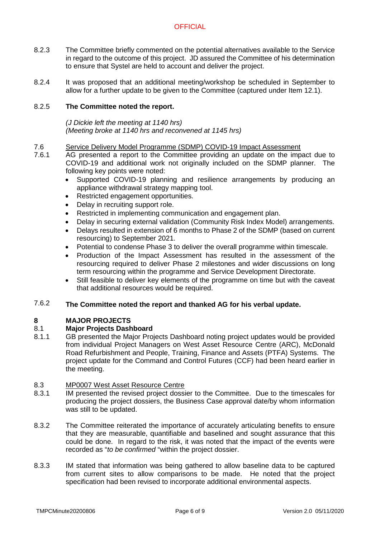- 8.2.3 The Committee briefly commented on the potential alternatives available to the Service in regard to the outcome of this project. JD assured the Committee of his determination to ensure that Systel are held to account and deliver the project.
- 8.2.4 It was proposed that an additional meeting/workshop be scheduled in September to allow for a further update to be given to the Committee (captured under Item 12.1).

#### 8.2.5 **The Committee noted the report.**

*(J Dickie left the meeting at 1140 hrs) (Meeting broke at 1140 hrs and reconvened at 1145 hrs)*

- 7.6 Service Delivery Model Programme (SDMP) COVID-19 Impact Assessment
- 7.6.1 AG presented a report to the Committee providing an update on the impact due to COVID-19 and additional work not originally included on the SDMP planner. The following key points were noted:
	- Supported COVID-19 planning and resilience arrangements by producing an appliance withdrawal strategy mapping tool.
	- Restricted engagement opportunities.
	- Delay in recruiting support role.
	- Restricted in implementing communication and engagement plan.
	- Delay in securing external validation (Community Risk Index Model) arrangements.
	- Delays resulted in extension of 6 months to Phase 2 of the SDMP (based on current resourcing) to September 2021.
	- Potential to condense Phase 3 to deliver the overall programme within timescale.
	- Production of the Impact Assessment has resulted in the assessment of the resourcing required to deliver Phase 2 milestones and wider discussions on long term resourcing within the programme and Service Development Directorate.
	- Still feasible to deliver key elements of the programme on time but with the caveat that additional resources would be required.

#### 7.6.2 **The Committee noted the report and thanked AG for his verbal update.**

#### **8 MAJOR PROJECTS**

#### 8.1 **Major Projects Dashboard**

8.1.1 GB presented the Major Projects Dashboard noting project updates would be provided from individual Project Managers on West Asset Resource Centre (ARC), McDonald Road Refurbishment and People, Training, Finance and Assets (PTFA) Systems. The project update for the Command and Control Futures (CCF) had been heard earlier in the meeting.

#### 8.3 MP0007 West Asset Resource Centre

- 8.3.1 IM presented the revised project dossier to the Committee. Due to the timescales for producing the project dossiers, the Business Case approval date/by whom information was still to be updated.
- 8.3.2 The Committee reiterated the importance of accurately articulating benefits to ensure that they are measurable, quantifiable and baselined and sought assurance that this could be done. In regard to the risk, it was noted that the impact of the events were recorded as "*to be confirmed* "within the project dossier.
- 8.3.3 IM stated that information was being gathered to allow baseline data to be captured from current sites to allow comparisons to be made. He noted that the project specification had been revised to incorporate additional environmental aspects.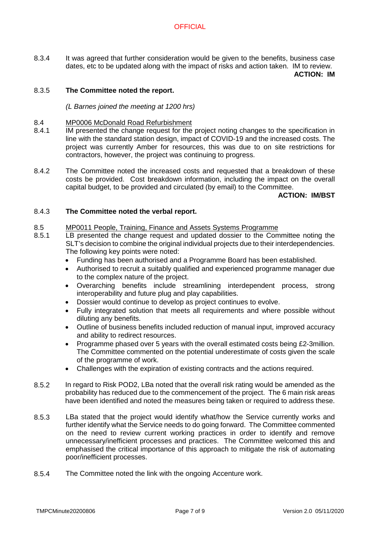8.3.4 It was agreed that further consideration would be given to the benefits, business case dates, etc to be updated along with the impact of risks and action taken. IM to review. **ACTION: IM**

#### 8.3.5 **The Committee noted the report.**

### *(L Barnes joined the meeting at 1200 hrs)*

#### 8.4 MP0006 McDonald Road Refurbishment

- 8.4.1 IM presented the change request for the project noting changes to the specification in line with the standard station design, impact of COVID-19 and the increased costs. The project was currently Amber for resources, this was due to on site restrictions for contractors, however, the project was continuing to progress.
- 8.4.2 The Committee noted the increased costs and requested that a breakdown of these costs be provided. Cost breakdown information, including the impact on the overall capital budget, to be provided and circulated (by email) to the Committee.

### **ACTION: IM/BST**

#### 8.4.3 **The Committee noted the verbal report.**

#### 8.5 MP0011 People, Training, Finance and Assets Systems Programme

- 8.5.1 LB presented the change request and updated dossier to the Committee noting the SLT's decision to combine the original individual projects due to their interdependencies. The following key points were noted:
	- Funding has been authorised and a Programme Board has been established.
	- Authorised to recruit a suitably qualified and experienced programme manager due to the complex nature of the project.
	- Overarching benefits include streamlining interdependent process, strong interoperability and future plug and play capabilities.
	- Dossier would continue to develop as project continues to evolve.
	- Fully integrated solution that meets all requirements and where possible without diluting any benefits.
	- Outline of business benefits included reduction of manual input, improved accuracy and ability to redirect resources.
	- Programme phased over 5 years with the overall estimated costs being £2-3million. The Committee commented on the potential underestimate of costs given the scale of the programme of work.
	- Challenges with the expiration of existing contracts and the actions required.
- 8.5.2 In regard to Risk POD2, LBa noted that the overall risk rating would be amended as the probability has reduced due to the commencement of the project. The 6 main risk areas have been identified and noted the measures being taken or required to address these.
- 8.5.3 LBa stated that the project would identify what/how the Service currently works and further identify what the Service needs to do going forward. The Committee commented on the need to review current working practices in order to identify and remove unnecessary/inefficient processes and practices. The Committee welcomed this and emphasised the critical importance of this approach to mitigate the risk of automating poor/inefficient processes.
- 8.5.4 The Committee noted the link with the ongoing Accenture work.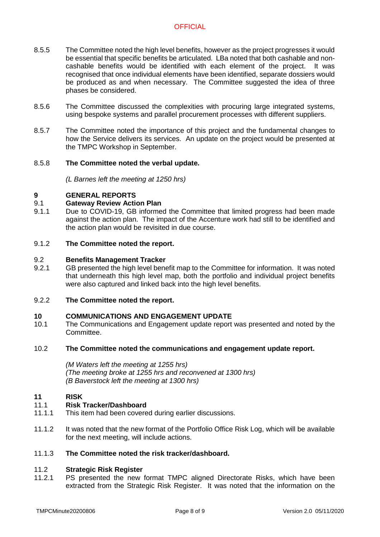- 8.5.5 The Committee noted the high level benefits, however as the project progresses it would be essential that specific benefits be articulated. LBa noted that both cashable and noncashable benefits would be identified with each element of the project. It was recognised that once individual elements have been identified, separate dossiers would be produced as and when necessary. The Committee suggested the idea of three phases be considered.
- 8.5.6 The Committee discussed the complexities with procuring large integrated systems, using bespoke systems and parallel procurement processes with different suppliers.
- 8.5.7 The Committee noted the importance of this project and the fundamental changes to how the Service delivers its services. An update on the project would be presented at the TMPC Workshop in September.

#### 8.5.8 **The Committee noted the verbal update.**

*(L Barnes left the meeting at 1250 hrs)*

#### **9 GENERAL REPORTS**

#### 9.1 **Gateway Review Action Plan**

9.1.1 Due to COVID-19, GB informed the Committee that limited progress had been made against the action plan. The impact of the Accenture work had still to be identified and the action plan would be revisited in due course.

#### 9.1.2 **The Committee noted the report.**

#### 9.2 **Benefits Management Tracker**

9.2.1 GB presented the high level benefit map to the Committee for information. It was noted that underneath this high level map, both the portfolio and individual project benefits were also captured and linked back into the high level benefits.

#### 9.2.2 **The Committee noted the report.**

#### **10 COMMUNICATIONS AND ENGAGEMENT UPDATE**

10.1 The Communications and Engagement update report was presented and noted by the Committee.

#### 10.2 **The Committee noted the communications and engagement update report.**

*(M Waters left the meeting at 1255 hrs) (The meeting broke at 1255 hrs and reconvened at 1300 hrs) (B Baverstock left the meeting at 1300 hrs)*

#### **11 RISK**

#### 11.1 **Risk Tracker/Dashboard**

- 11.1.1 This item had been covered during earlier discussions.
- 11.1.2 It was noted that the new format of the Portfolio Office Risk Log, which will be available for the next meeting, will include actions.

#### 11.1.3 **The Committee noted the risk tracker/dashboard.**

#### 11.2 **Strategic Risk Register**

11.2.1 PS presented the new format TMPC aligned Directorate Risks, which have been extracted from the Strategic Risk Register. It was noted that the information on the